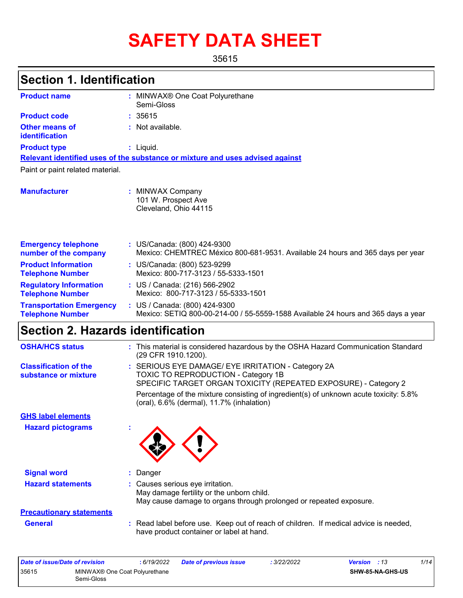# **SAFETY DATA SHEET**

35615

| <b>Section 1. Identification</b>                           |                                                                                                                                                              |
|------------------------------------------------------------|--------------------------------------------------------------------------------------------------------------------------------------------------------------|
| <b>Product name</b>                                        | : MINWAX® One Coat Polyurethane<br>Semi-Gloss                                                                                                                |
| <b>Product code</b>                                        | : 35615                                                                                                                                                      |
| <b>Other means of</b><br>identification                    | Not available.                                                                                                                                               |
| <b>Product type</b>                                        | : Liquid.                                                                                                                                                    |
|                                                            | Relevant identified uses of the substance or mixture and uses advised against                                                                                |
| Paint or paint related material.                           |                                                                                                                                                              |
| <b>Manufacturer</b>                                        | : MINWAX Company<br>101 W. Prospect Ave<br>Cleveland, Ohio 44115                                                                                             |
| <b>Emergency telephone</b><br>number of the company        | : US/Canada: (800) 424-9300<br>Mexico: CHEMTREC México 800-681-9531. Available 24 hours and 365 days per year                                                |
| <b>Product Information</b><br><b>Telephone Number</b>      | : US/Canada: (800) 523-9299<br>Mexico: 800-717-3123 / 55-5333-1501                                                                                           |
| <b>Regulatory Information</b><br><b>Telephone Number</b>   | : US / Canada: (216) 566-2902<br>Mexico: 800-717-3123 / 55-5333-1501                                                                                         |
| <b>Transportation Emergency</b><br><b>Telephone Number</b> | : US / Canada: (800) 424-9300<br>Mexico: SETIQ 800-00-214-00 / 55-5559-1588 Available 24 hours and 365 days a year                                           |
| <b>Section 2. Hazards identification</b>                   |                                                                                                                                                              |
| <b>OSHA/HCS status</b>                                     | : This material is considered hazardous by the OSHA Hazard Communication Standard<br>(29 CFR 1910.1200).                                                     |
| <b>Classification of the</b><br>substance or mixture       | : SERIOUS EYE DAMAGE/ EYE IRRITATION - Category 2A<br>TOXIC TO REPRODUCTION - Category 1B<br>SPECIFIC TARGET ORGAN TOXICITY (REPEATED EXPOSURE) - Category 2 |
|                                                            | Percentage of the mixture consisting of ingredient(s) of unknown acute toxicity: 5.8%<br>(oral), 6.6% (dermal), 11.7% (inhalation)                           |
| <b>GHS label elements</b>                                  |                                                                                                                                                              |
| <b>Hazard pictograms</b>                                   |                                                                                                                                                              |
| <b>Signal word</b>                                         | Danger<br>ř.                                                                                                                                                 |
| <b>Hazard statements</b>                                   | Causes serious eye irritation.<br>May damage fertility or the unborn child.<br>May cause damage to organs through prolonged or repeated exposure.            |
| <b>Precautionary statements</b>                            |                                                                                                                                                              |
| <b>General</b>                                             | : Read label before use. Keep out of reach of children. If medical advice is needed,                                                                         |

have product container or label at hand.

| Date of issue/Date of revision |                                                         | : 6/19/2022 | <b>Date of previous issue</b> | 3/22/2022 | <b>Version</b> : 13     | 1/14 |
|--------------------------------|---------------------------------------------------------|-------------|-------------------------------|-----------|-------------------------|------|
| 35615                          | MINWAX <sup>®</sup> One Coat Polyurethane<br>Semi-Gloss |             |                               |           | <b>SHW-85-NA-GHS-US</b> |      |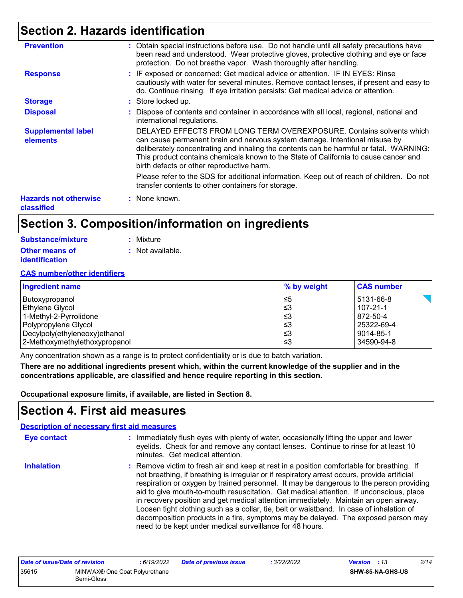### **Section 2. Hazards identification**

| <b>Prevention</b>                          | : Obtain special instructions before use. Do not handle until all safety precautions have<br>been read and understood. Wear protective gloves, protective clothing and eye or face<br>protection. Do not breathe vapor. Wash thoroughly after handling.                                                                                                                           |
|--------------------------------------------|-----------------------------------------------------------------------------------------------------------------------------------------------------------------------------------------------------------------------------------------------------------------------------------------------------------------------------------------------------------------------------------|
| <b>Response</b>                            | : IF exposed or concerned: Get medical advice or attention. IF IN EYES: Rinse<br>cautiously with water for several minutes. Remove contact lenses, if present and easy to<br>do. Continue rinsing. If eye irritation persists: Get medical advice or attention.                                                                                                                   |
| <b>Storage</b>                             | : Store locked up.                                                                                                                                                                                                                                                                                                                                                                |
| <b>Disposal</b>                            | : Dispose of contents and container in accordance with all local, regional, national and<br>international regulations.                                                                                                                                                                                                                                                            |
| <b>Supplemental label</b><br>elements      | DELAYED EFFECTS FROM LONG TERM OVEREXPOSURE. Contains solvents which<br>can cause permanent brain and nervous system damage. Intentional misuse by<br>deliberately concentrating and inhaling the contents can be harmful or fatal. WARNING:<br>This product contains chemicals known to the State of California to cause cancer and<br>birth defects or other reproductive harm. |
|                                            | Please refer to the SDS for additional information. Keep out of reach of children. Do not<br>transfer contents to other containers for storage.                                                                                                                                                                                                                                   |
| <b>Hazards not otherwise</b><br>classified | : None known.                                                                                                                                                                                                                                                                                                                                                                     |

### **Section 3. Composition/information on ingredients**

| Substance/mixture     | : Mixture        |
|-----------------------|------------------|
| <b>Other means of</b> | : Not available. |
| <b>identification</b> |                  |

#### **CAS number/other identifiers**

| <b>Ingredient name</b>        | $\%$ by weight | <b>CAS number</b> |
|-------------------------------|----------------|-------------------|
| Butoxypropanol                | l≤5            | 5131-66-8         |
| Ethylene Glycol               | l≤3            | $107 - 21 - 1$    |
| 1-Methyl-2-Pyrrolidone        | l≤3            | 872-50-4          |
| Polypropylene Glycol          | l≤3            | 25322-69-4        |
| Decylpoly(ethyleneoxy)ethanol | l≤3            | 9014-85-1         |
| 2-Methoxymethylethoxypropanol | l≤3            | 34590-94-8        |

Any concentration shown as a range is to protect confidentiality or is due to batch variation.

**There are no additional ingredients present which, within the current knowledge of the supplier and in the concentrations applicable, are classified and hence require reporting in this section.**

**Occupational exposure limits, if available, are listed in Section 8.**

### **Section 4. First aid measures**

|                   | <b>Description of necessary first aid measures</b>                                                                                                                                                                                                                                                                                                                                                                                                                                                                                                                                                                                                                                                                  |
|-------------------|---------------------------------------------------------------------------------------------------------------------------------------------------------------------------------------------------------------------------------------------------------------------------------------------------------------------------------------------------------------------------------------------------------------------------------------------------------------------------------------------------------------------------------------------------------------------------------------------------------------------------------------------------------------------------------------------------------------------|
| Eye contact       | : Immediately flush eyes with plenty of water, occasionally lifting the upper and lower<br>eyelids. Check for and remove any contact lenses. Continue to rinse for at least 10<br>minutes. Get medical attention.                                                                                                                                                                                                                                                                                                                                                                                                                                                                                                   |
| <b>Inhalation</b> | : Remove victim to fresh air and keep at rest in a position comfortable for breathing. If<br>not breathing, if breathing is irregular or if respiratory arrest occurs, provide artificial<br>respiration or oxygen by trained personnel. It may be dangerous to the person providing<br>aid to give mouth-to-mouth resuscitation. Get medical attention. If unconscious, place<br>in recovery position and get medical attention immediately. Maintain an open airway.<br>Loosen tight clothing such as a collar, tie, belt or waistband. In case of inhalation of<br>decomposition products in a fire, symptoms may be delayed. The exposed person may<br>need to be kept under medical surveillance for 48 hours. |

| Date of issue/Date of revision |                                             | 6/19/2022 | Date of previous issue | : 3/22/2022 | <b>Version</b> : 13     | 2/14 |
|--------------------------------|---------------------------------------------|-----------|------------------------|-------------|-------------------------|------|
| 35615                          | MINWAX® One Coat Polyurethane<br>Semi-Gloss |           |                        |             | <b>SHW-85-NA-GHS-US</b> |      |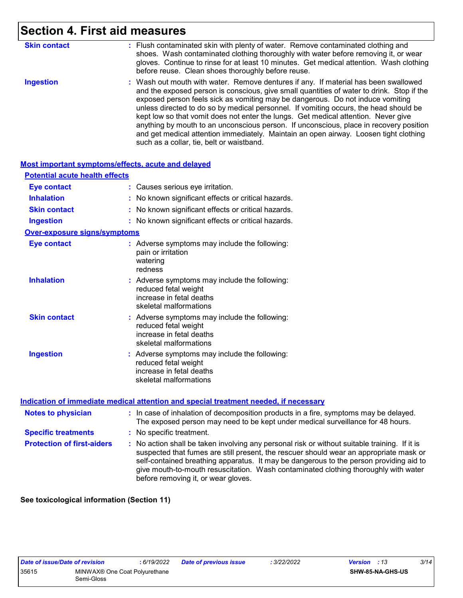### **Section 4. First aid measures**

| <b>Skin contact</b> | : Flush contaminated skin with plenty of water. Remove contaminated clothing and<br>shoes. Wash contaminated clothing thoroughly with water before removing it, or wear<br>gloves. Continue to rinse for at least 10 minutes. Get medical attention. Wash clothing<br>before reuse. Clean shoes thoroughly before reuse.                                                                                                                                                                                                                                                                                                                                                          |
|---------------------|-----------------------------------------------------------------------------------------------------------------------------------------------------------------------------------------------------------------------------------------------------------------------------------------------------------------------------------------------------------------------------------------------------------------------------------------------------------------------------------------------------------------------------------------------------------------------------------------------------------------------------------------------------------------------------------|
| <b>Ingestion</b>    | : Wash out mouth with water. Remove dentures if any. If material has been swallowed<br>and the exposed person is conscious, give small quantities of water to drink. Stop if the<br>exposed person feels sick as vomiting may be dangerous. Do not induce vomiting<br>unless directed to do so by medical personnel. If vomiting occurs, the head should be<br>kept low so that vomit does not enter the lungs. Get medical attention. Never give<br>anything by mouth to an unconscious person. If unconscious, place in recovery position<br>and get medical attention immediately. Maintain an open airway. Loosen tight clothing<br>such as a collar, tie, belt or waistband. |

| <b>Most important symptoms/effects, acute and delayed</b> |                                                                                                                             |
|-----------------------------------------------------------|-----------------------------------------------------------------------------------------------------------------------------|
| <b>Potential acute health effects</b>                     |                                                                                                                             |
| <b>Eye contact</b>                                        | Causes serious eye irritation.                                                                                              |
| <b>Inhalation</b>                                         | No known significant effects or critical hazards.                                                                           |
| <b>Skin contact</b>                                       | No known significant effects or critical hazards.                                                                           |
| <b>Ingestion</b>                                          | No known significant effects or critical hazards.                                                                           |
| <b>Over-exposure signs/symptoms</b>                       |                                                                                                                             |
| <b>Eye contact</b>                                        | : Adverse symptoms may include the following:<br>pain or irritation<br>watering<br>redness                                  |
| <b>Inhalation</b>                                         | : Adverse symptoms may include the following:<br>reduced fetal weight<br>increase in fetal deaths<br>skeletal malformations |
| <b>Skin contact</b>                                       | : Adverse symptoms may include the following:<br>reduced fetal weight<br>increase in fetal deaths<br>skeletal malformations |
| <b>Ingestion</b>                                          | : Adverse symptoms may include the following:<br>reduced fetal weight<br>increase in fetal deaths<br>skeletal malformations |

#### **Indication of immediate medical attention and special treatment needed, if necessary**

| <b>Notes to physician</b>         | : In case of inhalation of decomposition products in a fire, symptoms may be delayed.<br>The exposed person may need to be kept under medical surveillance for 48 hours.                                                                                                                                                                                                                                        |
|-----------------------------------|-----------------------------------------------------------------------------------------------------------------------------------------------------------------------------------------------------------------------------------------------------------------------------------------------------------------------------------------------------------------------------------------------------------------|
| <b>Specific treatments</b>        | : No specific treatment.                                                                                                                                                                                                                                                                                                                                                                                        |
| <b>Protection of first-aiders</b> | : No action shall be taken involving any personal risk or without suitable training. If it is<br>suspected that fumes are still present, the rescuer should wear an appropriate mask or<br>self-contained breathing apparatus. It may be dangerous to the person providing aid to<br>give mouth-to-mouth resuscitation. Wash contaminated clothing thoroughly with water<br>before removing it, or wear gloves. |

**See toxicological information (Section 11)**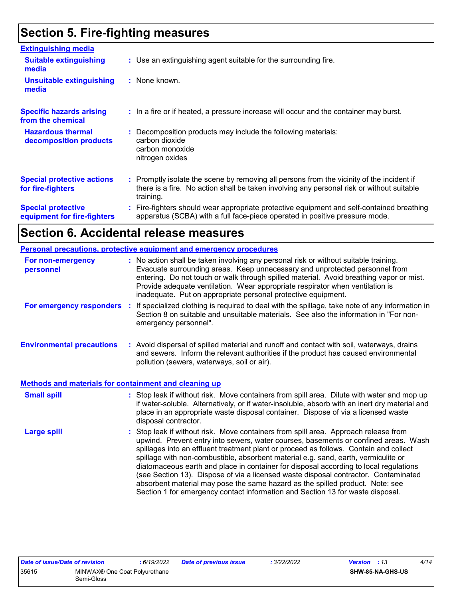### **Section 5. Fire-fighting measures**

| <b>Extinguishing media</b>                               |                                                                                                                                                                                                     |
|----------------------------------------------------------|-----------------------------------------------------------------------------------------------------------------------------------------------------------------------------------------------------|
| <b>Suitable extinguishing</b><br>media                   | : Use an extinguishing agent suitable for the surrounding fire.                                                                                                                                     |
| <b>Unsuitable extinguishing</b><br>media                 | : None known.                                                                                                                                                                                       |
| <b>Specific hazards arising</b><br>from the chemical     | : In a fire or if heated, a pressure increase will occur and the container may burst.                                                                                                               |
| <b>Hazardous thermal</b><br>decomposition products       | : Decomposition products may include the following materials:<br>carbon dioxide<br>carbon monoxide<br>nitrogen oxides                                                                               |
| <b>Special protective actions</b><br>for fire-fighters   | : Promptly isolate the scene by removing all persons from the vicinity of the incident if<br>there is a fire. No action shall be taken involving any personal risk or without suitable<br>training. |
| <b>Special protective</b><br>equipment for fire-fighters | Fire-fighters should wear appropriate protective equipment and self-contained breathing<br>apparatus (SCBA) with a full face-piece operated in positive pressure mode.                              |

### **Section 6. Accidental release measures**

|                                                              | Personal precautions, protective equipment and emergency procedures                                                                                                                                                                                                                                                                                                                                                                                                                                                                                                                                                                                                                                          |  |
|--------------------------------------------------------------|--------------------------------------------------------------------------------------------------------------------------------------------------------------------------------------------------------------------------------------------------------------------------------------------------------------------------------------------------------------------------------------------------------------------------------------------------------------------------------------------------------------------------------------------------------------------------------------------------------------------------------------------------------------------------------------------------------------|--|
| For non-emergency<br>personnel                               | : No action shall be taken involving any personal risk or without suitable training.<br>Evacuate surrounding areas. Keep unnecessary and unprotected personnel from<br>entering. Do not touch or walk through spilled material. Avoid breathing vapor or mist.<br>Provide adequate ventilation. Wear appropriate respirator when ventilation is<br>inadequate. Put on appropriate personal protective equipment.                                                                                                                                                                                                                                                                                             |  |
| For emergency responders                                     | : If specialized clothing is required to deal with the spillage, take note of any information in<br>Section 8 on suitable and unsuitable materials. See also the information in "For non-<br>emergency personnel".                                                                                                                                                                                                                                                                                                                                                                                                                                                                                           |  |
| <b>Environmental precautions</b>                             | : Avoid dispersal of spilled material and runoff and contact with soil, waterways, drains<br>and sewers. Inform the relevant authorities if the product has caused environmental<br>pollution (sewers, waterways, soil or air).                                                                                                                                                                                                                                                                                                                                                                                                                                                                              |  |
| <b>Methods and materials for containment and cleaning up</b> |                                                                                                                                                                                                                                                                                                                                                                                                                                                                                                                                                                                                                                                                                                              |  |
| <b>Small spill</b>                                           | : Stop leak if without risk. Move containers from spill area. Dilute with water and mop up<br>if water-soluble. Alternatively, or if water-insoluble, absorb with an inert dry material and<br>place in an appropriate waste disposal container. Dispose of via a licensed waste<br>disposal contractor.                                                                                                                                                                                                                                                                                                                                                                                                     |  |
| <b>Large spill</b>                                           | : Stop leak if without risk. Move containers from spill area. Approach release from<br>upwind. Prevent entry into sewers, water courses, basements or confined areas. Wash<br>spillages into an effluent treatment plant or proceed as follows. Contain and collect<br>spillage with non-combustible, absorbent material e.g. sand, earth, vermiculite or<br>diatomaceous earth and place in container for disposal according to local regulations<br>(see Section 13). Dispose of via a licensed waste disposal contractor. Contaminated<br>absorbent material may pose the same hazard as the spilled product. Note: see<br>Section 1 for emergency contact information and Section 13 for waste disposal. |  |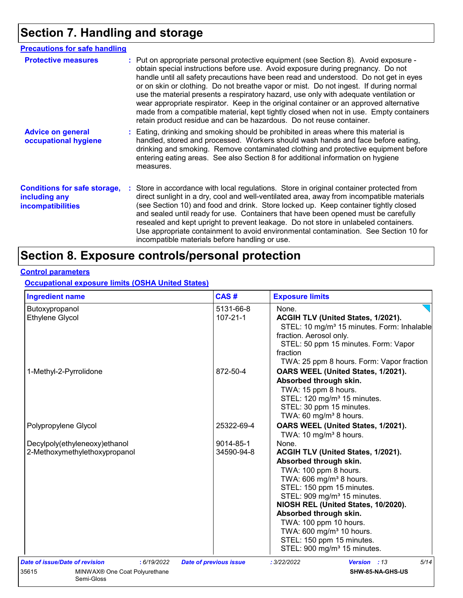## **Section 7. Handling and storage**

| <b>Precautions for safe handling</b>                                             |                                                                                                                                                                                                                                                                                                                                                                                                                                                                                                                                                                                                                                                                                                                |
|----------------------------------------------------------------------------------|----------------------------------------------------------------------------------------------------------------------------------------------------------------------------------------------------------------------------------------------------------------------------------------------------------------------------------------------------------------------------------------------------------------------------------------------------------------------------------------------------------------------------------------------------------------------------------------------------------------------------------------------------------------------------------------------------------------|
| <b>Protective measures</b>                                                       | : Put on appropriate personal protective equipment (see Section 8). Avoid exposure -<br>obtain special instructions before use. Avoid exposure during pregnancy. Do not<br>handle until all safety precautions have been read and understood. Do not get in eyes<br>or on skin or clothing. Do not breathe vapor or mist. Do not ingest. If during normal<br>use the material presents a respiratory hazard, use only with adequate ventilation or<br>wear appropriate respirator. Keep in the original container or an approved alternative<br>made from a compatible material, kept tightly closed when not in use. Empty containers<br>retain product residue and can be hazardous. Do not reuse container. |
| <b>Advice on general</b><br>occupational hygiene                                 | : Eating, drinking and smoking should be prohibited in areas where this material is<br>handled, stored and processed. Workers should wash hands and face before eating,<br>drinking and smoking. Remove contaminated clothing and protective equipment before<br>entering eating areas. See also Section 8 for additional information on hygiene<br>measures.                                                                                                                                                                                                                                                                                                                                                  |
| <b>Conditions for safe storage,</b><br>including any<br><i>incompatibilities</i> | : Store in accordance with local regulations. Store in original container protected from<br>direct sunlight in a dry, cool and well-ventilated area, away from incompatible materials<br>(see Section 10) and food and drink. Store locked up. Keep container tightly closed<br>and sealed until ready for use. Containers that have been opened must be carefully<br>resealed and kept upright to prevent leakage. Do not store in unlabeled containers.<br>Use appropriate containment to avoid environmental contamination. See Section 10 for<br>incompatible materials before handling or use.                                                                                                            |

### **Section 8. Exposure controls/personal protection**

### **Control parameters**

**Occupational exposure limits (OSHA United States)**

| <b>Ingredient name</b>                               | CAS#                          | <b>Exposure limits</b>                                                                                                                                                      |
|------------------------------------------------------|-------------------------------|-----------------------------------------------------------------------------------------------------------------------------------------------------------------------------|
| Butoxypropanol                                       | 5131-66-8                     | None.                                                                                                                                                                       |
| <b>Ethylene Glycol</b>                               | $107 - 21 - 1$                | ACGIH TLV (United States, 1/2021).<br>STEL: 10 mg/m <sup>3</sup> 15 minutes. Form: Inhalable<br>fraction. Aerosol only.<br>STEL: 50 ppm 15 minutes. Form: Vapor<br>fraction |
|                                                      |                               | TWA: 25 ppm 8 hours. Form: Vapor fraction                                                                                                                                   |
| 1-Methyl-2-Pyrrolidone                               | 872-50-4                      | OARS WEEL (United States, 1/2021).                                                                                                                                          |
|                                                      |                               | Absorbed through skin.                                                                                                                                                      |
|                                                      |                               | TWA: 15 ppm 8 hours.                                                                                                                                                        |
|                                                      |                               | STEL: 120 mg/m <sup>3</sup> 15 minutes.<br>STEL: 30 ppm 15 minutes.                                                                                                         |
|                                                      |                               | TWA: 60 mg/m <sup>3</sup> 8 hours.                                                                                                                                          |
| Polypropylene Glycol                                 | 25322-69-4                    | OARS WEEL (United States, 1/2021).                                                                                                                                          |
|                                                      |                               | TWA: 10 mg/m <sup>3</sup> 8 hours.                                                                                                                                          |
| Decylpoly(ethyleneoxy)ethanol                        | 9014-85-1                     | None.                                                                                                                                                                       |
| 2-Methoxymethylethoxypropanol                        | 34590-94-8                    | ACGIH TLV (United States, 1/2021).                                                                                                                                          |
|                                                      |                               | Absorbed through skin.                                                                                                                                                      |
|                                                      |                               | TWA: 100 ppm 8 hours.                                                                                                                                                       |
|                                                      |                               | TWA: 606 mg/m <sup>3</sup> 8 hours.                                                                                                                                         |
|                                                      |                               | STEL: 150 ppm 15 minutes.                                                                                                                                                   |
|                                                      |                               | STEL: 909 mg/m <sup>3</sup> 15 minutes.                                                                                                                                     |
|                                                      |                               | NIOSH REL (United States, 10/2020).                                                                                                                                         |
|                                                      |                               | Absorbed through skin.                                                                                                                                                      |
|                                                      |                               | TWA: 100 ppm 10 hours.                                                                                                                                                      |
|                                                      |                               | TWA: 600 mg/m <sup>3</sup> 10 hours.                                                                                                                                        |
|                                                      |                               | STEL: 150 ppm 15 minutes.<br>STEL: 900 mg/m <sup>3</sup> 15 minutes.                                                                                                        |
|                                                      |                               |                                                                                                                                                                             |
| Date of issue/Date of revision<br>: 6/19/2022        | <b>Date of previous issue</b> | 5/14<br>: 3/22/2022<br><b>Version</b> : 13                                                                                                                                  |
| 35615<br>MINWAX® One Coat Polyurethane<br>Semi-Gloss |                               | SHW-85-NA-GHS-US                                                                                                                                                            |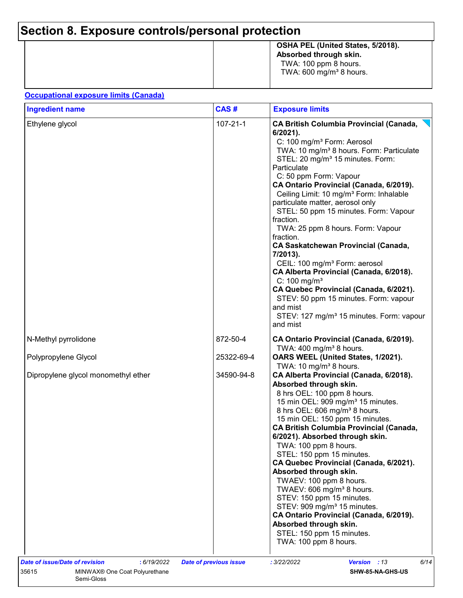## **Section 8. Exposure controls/personal protection**

|  | OSHA PEL (United States, 5/2018).<br>Absorbed through skin.<br>TWA: 100 ppm 8 hours.<br>TWA: $600 \text{ mg/m}^3$ 8 hours. |
|--|----------------------------------------------------------------------------------------------------------------------------|
|--|----------------------------------------------------------------------------------------------------------------------------|

#### **Occupational exposure limits (Canada)**

Semi-Gloss

| <b>Ingredient name</b>              | CAS#           | <b>Exposure limits</b>                                                                                                                                                                                                                                                                                                                                                                                                                                                                                                                                                                                                                                                                                                                                                                                                                                 |  |  |  |
|-------------------------------------|----------------|--------------------------------------------------------------------------------------------------------------------------------------------------------------------------------------------------------------------------------------------------------------------------------------------------------------------------------------------------------------------------------------------------------------------------------------------------------------------------------------------------------------------------------------------------------------------------------------------------------------------------------------------------------------------------------------------------------------------------------------------------------------------------------------------------------------------------------------------------------|--|--|--|
| Ethylene glycol                     | $107 - 21 - 1$ | <b>CA British Columbia Provincial (Canada,</b><br>$6/2021$ ).<br>C: 100 mg/m <sup>3</sup> Form: Aerosol<br>TWA: 10 mg/m <sup>3</sup> 8 hours. Form: Particulate<br>STEL: 20 mg/m <sup>3</sup> 15 minutes. Form:<br>Particulate<br>C: 50 ppm Form: Vapour<br>CA Ontario Provincial (Canada, 6/2019).<br>Ceiling Limit: 10 mg/m <sup>3</sup> Form: Inhalable<br>particulate matter, aerosol only<br>STEL: 50 ppm 15 minutes. Form: Vapour<br>fraction.<br>TWA: 25 ppm 8 hours. Form: Vapour<br>fraction.<br><b>CA Saskatchewan Provincial (Canada,</b><br>7/2013).<br>CEIL: 100 mg/m <sup>3</sup> Form: aerosol<br>CA Alberta Provincial (Canada, 6/2018).<br>C: $100 \text{ mg/m}^3$<br>CA Quebec Provincial (Canada, 6/2021).<br>STEV: 50 ppm 15 minutes. Form: vapour<br>and mist<br>STEV: 127 mg/m <sup>3</sup> 15 minutes. Form: vapour<br>and mist |  |  |  |
| N-Methyl pyrrolidone                | 872-50-4       | CA Ontario Provincial (Canada, 6/2019).<br>TWA: $400 \text{ mg/m}^3$ 8 hours.                                                                                                                                                                                                                                                                                                                                                                                                                                                                                                                                                                                                                                                                                                                                                                          |  |  |  |
| Polypropylene Glycol                | 25322-69-4     | OARS WEEL (United States, 1/2021).                                                                                                                                                                                                                                                                                                                                                                                                                                                                                                                                                                                                                                                                                                                                                                                                                     |  |  |  |
| Dipropylene glycol monomethyl ether | 34590-94-8     | TWA: 10 mg/m <sup>3</sup> 8 hours.<br>CA Alberta Provincial (Canada, 6/2018).<br>Absorbed through skin.<br>8 hrs OEL: 100 ppm 8 hours.<br>15 min OEL: 909 mg/m <sup>3</sup> 15 minutes.<br>8 hrs OEL: 606 mg/m <sup>3</sup> 8 hours.<br>15 min OEL: 150 ppm 15 minutes.<br><b>CA British Columbia Provincial (Canada,</b><br>6/2021). Absorbed through skin.<br>TWA: 100 ppm 8 hours.<br>STEL: 150 ppm 15 minutes.<br>CA Quebec Provincial (Canada, 6/2021).<br>Absorbed through skin.<br>TWAEV: 100 ppm 8 hours.<br>TWAEV: 606 mg/m <sup>3</sup> 8 hours.<br>STEV: 150 ppm 15 minutes.<br>STEV: 909 mg/m <sup>3</sup> 15 minutes.<br>CA Ontario Provincial (Canada, 6/2019).<br>Absorbed through skin.<br>STEL: 150 ppm 15 minutes.<br>TWA: 100 ppm 8 hours.                                                                                          |  |  |  |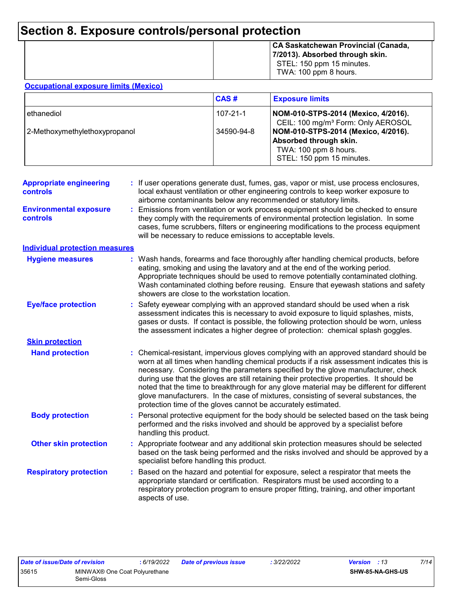### **Section 8. Exposure controls/personal protection**

|  | CA Saskatchewan Provincial (Canada,<br>7/2013). Absorbed through skin.<br>STEL: 150 ppm 15 minutes.<br>TWA: 100 ppm 8 hours. |
|--|------------------------------------------------------------------------------------------------------------------------------|
|--|------------------------------------------------------------------------------------------------------------------------------|

#### **Occupational exposure limits (Mexico)**

|                               | <b>CAS#</b> | <b>Exposure limits</b>                                                                                              |
|-------------------------------|-------------|---------------------------------------------------------------------------------------------------------------------|
| ethanediol                    | 107-21-1    | NOM-010-STPS-2014 (Mexico, 4/2016).<br>CEIL: 100 mg/m <sup>3</sup> Form: Only AEROSOL                               |
| 2-Methoxymethylethoxypropanol | 34590-94-8  | NOM-010-STPS-2014 (Mexico, 4/2016).<br>Absorbed through skin.<br>TWA: 100 ppm 8 hours.<br>STEL: 150 ppm 15 minutes. |

| <b>Appropriate engineering</b><br>controls | : If user operations generate dust, fumes, gas, vapor or mist, use process enclosures,<br>local exhaust ventilation or other engineering controls to keep worker exposure to<br>airborne contaminants below any recommended or statutory limits.                                                                                                                                                                                                                                                                                                                                                                       |
|--------------------------------------------|------------------------------------------------------------------------------------------------------------------------------------------------------------------------------------------------------------------------------------------------------------------------------------------------------------------------------------------------------------------------------------------------------------------------------------------------------------------------------------------------------------------------------------------------------------------------------------------------------------------------|
| <b>Environmental exposure</b><br>controls  | Emissions from ventilation or work process equipment should be checked to ensure<br>they comply with the requirements of environmental protection legislation. In some<br>cases, fume scrubbers, filters or engineering modifications to the process equipment<br>will be necessary to reduce emissions to acceptable levels.                                                                                                                                                                                                                                                                                          |
| <b>Individual protection measures</b>      |                                                                                                                                                                                                                                                                                                                                                                                                                                                                                                                                                                                                                        |
| <b>Hygiene measures</b>                    | : Wash hands, forearms and face thoroughly after handling chemical products, before<br>eating, smoking and using the lavatory and at the end of the working period.<br>Appropriate techniques should be used to remove potentially contaminated clothing.<br>Wash contaminated clothing before reusing. Ensure that eyewash stations and safety<br>showers are close to the workstation location.                                                                                                                                                                                                                      |
| <b>Eye/face protection</b>                 | Safety eyewear complying with an approved standard should be used when a risk<br>assessment indicates this is necessary to avoid exposure to liquid splashes, mists,<br>gases or dusts. If contact is possible, the following protection should be worn, unless<br>the assessment indicates a higher degree of protection: chemical splash goggles.                                                                                                                                                                                                                                                                    |
| <b>Skin protection</b>                     |                                                                                                                                                                                                                                                                                                                                                                                                                                                                                                                                                                                                                        |
| <b>Hand protection</b>                     | : Chemical-resistant, impervious gloves complying with an approved standard should be<br>worn at all times when handling chemical products if a risk assessment indicates this is<br>necessary. Considering the parameters specified by the glove manufacturer, check<br>during use that the gloves are still retaining their protective properties. It should be<br>noted that the time to breakthrough for any glove material may be different for different<br>glove manufacturers. In the case of mixtures, consisting of several substances, the<br>protection time of the gloves cannot be accurately estimated. |
| <b>Body protection</b>                     | : Personal protective equipment for the body should be selected based on the task being<br>performed and the risks involved and should be approved by a specialist before<br>handling this product.                                                                                                                                                                                                                                                                                                                                                                                                                    |
| <b>Other skin protection</b>               | Appropriate footwear and any additional skin protection measures should be selected<br>based on the task being performed and the risks involved and should be approved by a<br>specialist before handling this product.                                                                                                                                                                                                                                                                                                                                                                                                |
| <b>Respiratory protection</b>              | Based on the hazard and potential for exposure, select a respirator that meets the<br>appropriate standard or certification. Respirators must be used according to a<br>respiratory protection program to ensure proper fitting, training, and other important<br>aspects of use.                                                                                                                                                                                                                                                                                                                                      |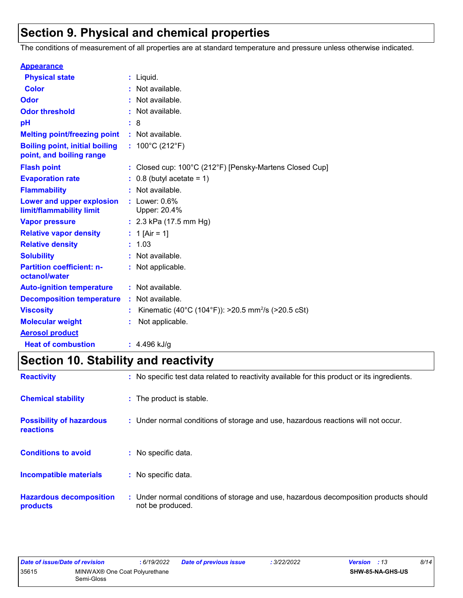### **Section 9. Physical and chemical properties**

The conditions of measurement of all properties are at standard temperature and pressure unless otherwise indicated.

| <b>Appearance</b>                                                 |    |                                                                              |
|-------------------------------------------------------------------|----|------------------------------------------------------------------------------|
| <b>Physical state</b>                                             |    | $:$ Liquid.                                                                  |
| <b>Color</b>                                                      |    | Not available.                                                               |
| Odor                                                              |    | Not available.                                                               |
| <b>Odor threshold</b>                                             |    | Not available.                                                               |
| pH                                                                |    | 8                                                                            |
| <b>Melting point/freezing point</b>                               |    | : Not available.                                                             |
| <b>Boiling point, initial boiling</b><br>point, and boiling range |    | : $100^{\circ}$ C (212 $^{\circ}$ F)                                         |
| <b>Flash point</b>                                                |    | : Closed cup: $100^{\circ}$ C (212 $^{\circ}$ F) [Pensky-Martens Closed Cup] |
| <b>Evaporation rate</b>                                           |    | $0.8$ (butyl acetate = 1)                                                    |
| <b>Flammability</b>                                               |    | Not available.                                                               |
| Lower and upper explosion<br>limit/flammability limit             |    | $:$ Lower: $0.6\%$<br>Upper: 20.4%                                           |
| <b>Vapor pressure</b>                                             |    | : $2.3$ kPa (17.5 mm Hg)                                                     |
| <b>Relative vapor density</b>                                     |    | 1 [Air = 1]                                                                  |
| <b>Relative density</b>                                           |    | 1.03                                                                         |
| <b>Solubility</b>                                                 | t. | Not available.                                                               |
| <b>Partition coefficient: n-</b><br>octanol/water                 |    | : Not applicable.                                                            |
| <b>Auto-ignition temperature</b>                                  |    | : Not available.                                                             |
| <b>Decomposition temperature</b>                                  |    | : Not available.                                                             |
| <b>Viscosity</b>                                                  |    | Kinematic (40°C (104°F)): >20.5 mm <sup>2</sup> /s (>20.5 cSt)               |
| <b>Molecular weight</b>                                           |    | Not applicable.                                                              |
| <b>Aerosol product</b>                                            |    |                                                                              |
| <b>Heat of combustion</b>                                         |    | $: 4.496$ kJ/g                                                               |

# **Section 10. Stability and reactivity**

| <b>Reactivity</b>                            | : No specific test data related to reactivity available for this product or its ingredients.              |  |
|----------------------------------------------|-----------------------------------------------------------------------------------------------------------|--|
| <b>Chemical stability</b>                    | : The product is stable.                                                                                  |  |
| <b>Possibility of hazardous</b><br>reactions | : Under normal conditions of storage and use, hazardous reactions will not occur.                         |  |
| <b>Conditions to avoid</b>                   | : No specific data.                                                                                       |  |
| Incompatible materials                       | : No specific data.                                                                                       |  |
| <b>Hazardous decomposition</b><br>products   | : Under normal conditions of storage and use, hazardous decomposition products should<br>not be produced. |  |

| Date of issue/Date of revision |                                             | 6/19/2022 | <b>Date of previous issue</b> | : 3/22/2022 | <b>Version</b> : 13 | 8/14 |
|--------------------------------|---------------------------------------------|-----------|-------------------------------|-------------|---------------------|------|
| 35615                          | MINWAX® One Coat Polyurethane<br>Semi-Gloss |           |                               |             | SHW-85-NA-GHS-US    |      |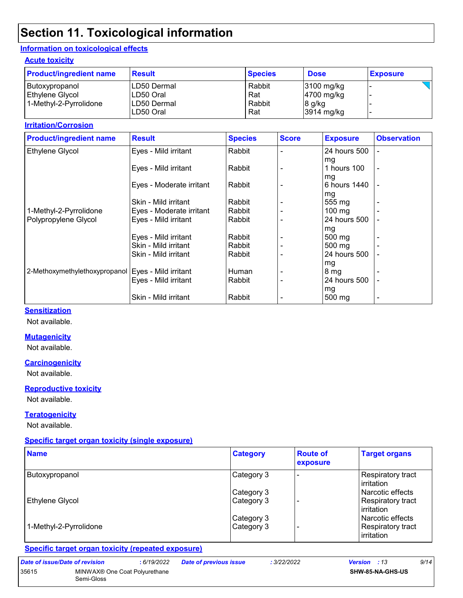### **Section 11. Toxicological information**

#### **Information on toxicological effects**

#### **Acute toxicity**

| <b>Product/ingredient name</b> | <b>Result</b>            | <b>Species</b> | <b>Dose</b>          | <b>Exposure</b> |
|--------------------------------|--------------------------|----------------|----------------------|-----------------|
| Butoxypropanol                 | LD50 Dermal              | Rabbit         | 3100 mg/kg           |                 |
| Ethylene Glycol                | LD50 Oral                | Rat            | 4700 mg/kg           |                 |
| 1-Methyl-2-Pyrrolidone         | LD50 Dermal<br>LD50 Oral | Rabbit<br>Rat  | 8 g/kg<br>3914 mg/kg |                 |

#### **Irritation/Corrosion**

| <b>Product/ingredient name</b> | <b>Result</b>            | <b>Species</b> | <b>Score</b> | <b>Exposure</b>     | <b>Observation</b> |
|--------------------------------|--------------------------|----------------|--------------|---------------------|--------------------|
| Ethylene Glycol                | Eyes - Mild irritant     | Rabbit         |              | 24 hours 500        | ÷                  |
|                                |                          |                |              | mg                  |                    |
|                                | Eyes - Mild irritant     | Rabbit         |              | 1 hours 100         | $\blacksquare$     |
|                                |                          |                |              | mg                  |                    |
|                                | Eyes - Moderate irritant | Rabbit         |              | 6 hours 1440        |                    |
|                                |                          |                |              | mg                  |                    |
|                                | Skin - Mild irritant     | Rabbit         |              | 555 mg              | $\blacksquare$     |
| 1-Methyl-2-Pyrrolidone         | Eyes - Moderate irritant | Rabbit         |              | $100 \text{ mg}$    |                    |
| Polypropylene Glycol           | Eyes - Mild irritant     | Rabbit         |              | 24 hours 500        |                    |
|                                |                          |                |              | mg                  |                    |
|                                | Eyes - Mild irritant     | Rabbit         |              | $500 \text{ mg}$    |                    |
|                                | Skin - Mild irritant     | Rabbit         |              | $500 \text{ mg}$    |                    |
|                                | Skin - Mild irritant     | Rabbit         |              | 24 hours 500        |                    |
|                                |                          |                |              | mg                  |                    |
| 2-Methoxymethylethoxypropanol  | Eyes - Mild irritant     | Human          |              | 8 <sub>mg</sub>     |                    |
|                                | Eyes - Mild irritant     | Rabbit         |              | 24 hours 500        |                    |
|                                |                          |                |              | mg                  |                    |
|                                | Skin - Mild irritant     | Rabbit         |              | $500 \,\mathrm{mg}$ | $\blacksquare$     |

#### **Sensitization**

Not available.

#### **Mutagenicity**

Not available.

#### **Carcinogenicity**

Not available.

#### **Reproductive toxicity**

Not available.

#### **Teratogenicity**

Not available.

35615

#### **Specific target organ toxicity (single exposure)**

| <b>Name</b>            | <b>Category</b> | <b>Route of</b><br>exposure | <b>Target organs</b>                     |
|------------------------|-----------------|-----------------------------|------------------------------------------|
| Butoxypropanol         | Category 3      |                             | <b>Respiratory tract</b><br>l irritation |
|                        | Category 3      |                             | l Narcotic effects                       |
| Ethylene Glycol        | Category 3      |                             | Respiratory tract<br><b>lirritation</b>  |
|                        | Category 3      |                             | l Narcotic effects                       |
| 1-Methyl-2-Pyrrolidone | Category 3      |                             | Respiratory tract<br>irritation          |

#### **Specific target organ toxicity (repeated exposure)**

| Date of issue/Date of revision | : 6/19/2022                                             | <b>Date of previous issue</b> | : 3/22/2022 | 9/14<br><b>Version</b> : 13 |
|--------------------------------|---------------------------------------------------------|-------------------------------|-------------|-----------------------------|
| 35615                          | MINWAX <sup>®</sup> One Coat Polyurethane<br>Semi-Gloss |                               |             | <b>SHW-85-NA-GHS-US</b>     |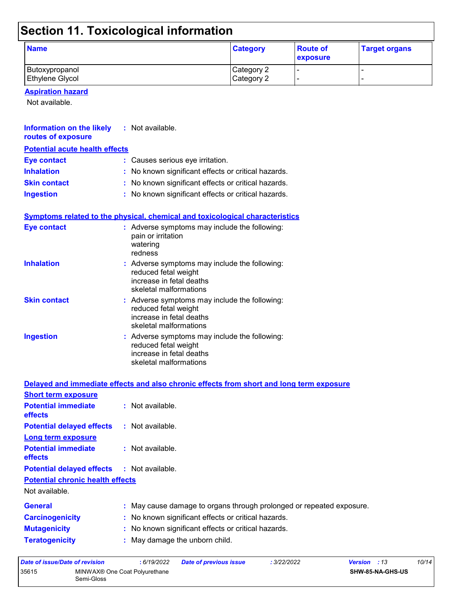# **Section 11. Toxicological information**

| <b>Name</b>            | <b>Category</b> | <b>Route of</b><br>exposure | <b>Target organs</b> |
|------------------------|-----------------|-----------------------------|----------------------|
| Butoxypropanol         | Category 2      |                             |                      |
| <b>Ethylene Glycol</b> | Category 2      |                             |                      |

#### **Aspiration hazard**

Not available.

| <b>Information on the likely : Not available.</b><br>routes of exposure |                                                                                                                             |
|-------------------------------------------------------------------------|-----------------------------------------------------------------------------------------------------------------------------|
| <b>Potential acute health effects</b>                                   |                                                                                                                             |
| <b>Eye contact</b>                                                      | : Causes serious eye irritation.                                                                                            |
| <b>Inhalation</b>                                                       | : No known significant effects or critical hazards.                                                                         |
| <b>Skin contact</b>                                                     | : No known significant effects or critical hazards.                                                                         |
| <b>Ingestion</b>                                                        | : No known significant effects or critical hazards.                                                                         |
|                                                                         | <b>Symptoms related to the physical, chemical and toxicological characteristics</b>                                         |
| <b>Eye contact</b>                                                      | : Adverse symptoms may include the following:<br>pain or irritation<br>watering<br>redness                                  |
| <b>Inhalation</b>                                                       | : Adverse symptoms may include the following:<br>reduced fetal weight<br>increase in fetal deaths<br>skeletal malformations |
| <b>Skin contact</b>                                                     | : Adverse symptoms may include the following:<br>reduced fetal weight<br>increase in fetal deaths<br>skeletal malformations |
| <b>Ingestion</b>                                                        | : Adverse symptoms may include the following:<br>reduced fetal weight<br>increase in fetal deaths<br>skeletal malformations |

|                                                           | Delayed and immediate effects and also chronic effects from short and long term exposure |
|-----------------------------------------------------------|------------------------------------------------------------------------------------------|
| <b>Short term exposure</b>                                |                                                                                          |
| <b>Potential immediate</b><br><b>effects</b>              | : Not available.                                                                         |
| <b>Potential delayed effects : Not available.</b>         |                                                                                          |
| Long term exposure                                        |                                                                                          |
| <b>Potential immediate</b><br><b>effects</b>              | $:$ Not available.                                                                       |
| <b>Potential delayed effects : Not available.</b>         |                                                                                          |
| <b>Potential chronic health effects</b><br>Not available. |                                                                                          |
| <b>General</b>                                            | : May cause damage to organs through prolonged or repeated exposure.                     |
| <b>Carcinogenicity</b>                                    | : No known significant effects or critical hazards.                                      |
| <b>Mutagenicity</b>                                       | : No known significant effects or critical hazards.                                      |
| <b>Teratogenicity</b>                                     | : May damage the unborn child.                                                           |

| Date of issue/Date of revision |                                                         | : 6/19/2022 | <b>Date of previous issue</b> | : 3/22/2022 | <b>Version</b> : 13 |                         | 10/14 |
|--------------------------------|---------------------------------------------------------|-------------|-------------------------------|-------------|---------------------|-------------------------|-------|
| 35615                          | MINWAX <sup>®</sup> One Coat Polyurethane<br>Semi-Gloss |             |                               |             |                     | <b>SHW-85-NA-GHS-US</b> |       |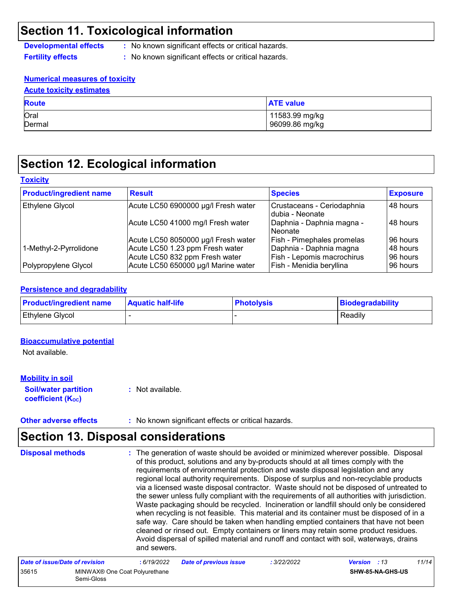### **Section 11. Toxicological information**

**Developmental effects :** No known significant effects or critical hazards.

**Fertility effects :** No known significant effects or critical hazards.

#### **Numerical measures of toxicity**

| <b>Acute toxicity estimates</b> |                                  |  |  |  |
|---------------------------------|----------------------------------|--|--|--|
| <b>Route</b>                    | <b>ATE value</b>                 |  |  |  |
| Oral<br>Dermal                  | 11583.99 mg/kg<br>96099.86 mg/kg |  |  |  |

### **Section 12. Ecological information**

#### **Toxicity**

| <b>Product/ingredient name</b> | <b>Result</b>                       | <b>Species</b>                                 | <b>Exposure</b> |
|--------------------------------|-------------------------------------|------------------------------------------------|-----------------|
| Ethylene Glycol                | Acute LC50 6900000 µg/l Fresh water | Crustaceans - Ceriodaphnia<br>Idubia - Neonate | 48 hours        |
|                                | Acute LC50 41000 mg/l Fresh water   | Daphnia - Daphnia magna -<br>l Neonate         | ⊩48 hours       |
|                                | Acute LC50 8050000 µg/l Fresh water | Fish - Pimephales promelas                     | 96 hours        |
| 1-Methyl-2-Pyrrolidone         | Acute LC50 1.23 ppm Fresh water     | Daphnia - Daphnia magna                        | 48 hours        |
|                                | Acute LC50 832 ppm Fresh water      | Fish - Lepomis macrochirus                     | 96 hours        |
| Polypropylene Glycol           | Acute LC50 650000 µg/l Marine water | Fish - Menidia beryllina                       | 96 hours        |

#### **Persistence and degradability**

| <b>Product/ingredient name</b> | <b>Aquatic half-life</b> | <b>Photolysis</b> | Biodegradability |
|--------------------------------|--------------------------|-------------------|------------------|
| <b>Ethylene Glycol</b>         |                          |                   | Readily          |

#### **Bioaccumulative potential**

Not available.

#### **Mobility in soil**

**Soil/water partition coefficient (KOC)**

**:** Not available.

**Other adverse effects :** No known significant effects or critical hazards.

### **Section 13. Disposal considerations**

The generation of waste should be avoided or minimized wherever possible. Disposal of this product, solutions and any by-products should at all times comply with the requirements of environmental protection and waste disposal legislation and any regional local authority requirements. Dispose of surplus and non-recyclable products via a licensed waste disposal contractor. Waste should not be disposed of untreated to the sewer unless fully compliant with the requirements of all authorities with jurisdiction. Waste packaging should be recycled. Incineration or landfill should only be considered when recycling is not feasible. This material and its container must be disposed of in a safe way. Care should be taken when handling emptied containers that have not been cleaned or rinsed out. Empty containers or liners may retain some product residues. Avoid dispersal of spilled material and runoff and contact with soil, waterways, drains and sewers. **Disposal methods :**

| Date of issue/Date of revision |                                             | : 6/19/2022 | <b>Date of previous issue</b> | : 3/22/2022 | <b>Version</b> : 13 |                  | 11/14 |
|--------------------------------|---------------------------------------------|-------------|-------------------------------|-------------|---------------------|------------------|-------|
| 35615                          | MINWAX® One Coat Polyurethane<br>Semi-Gloss |             |                               |             |                     | SHW-85-NA-GHS-US |       |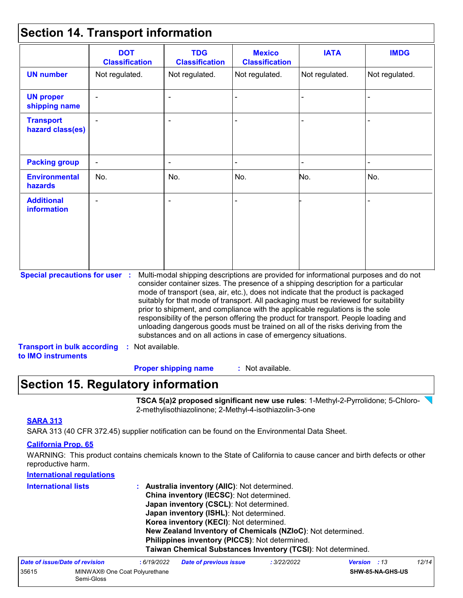### **Section 14. Transport information**

|                                                          | <b>DOT</b><br><b>Classification</b> | <b>TDG</b><br><b>Classification</b>                            | <b>Mexico</b><br><b>Classification</b> | <b>IATA</b>                                                                                                                                                                                                                                                                                                                                                                                                                                                                                                                                                                                                       | <b>IMDG</b>    |
|----------------------------------------------------------|-------------------------------------|----------------------------------------------------------------|----------------------------------------|-------------------------------------------------------------------------------------------------------------------------------------------------------------------------------------------------------------------------------------------------------------------------------------------------------------------------------------------------------------------------------------------------------------------------------------------------------------------------------------------------------------------------------------------------------------------------------------------------------------------|----------------|
| <b>UN number</b>                                         | Not regulated.                      | Not regulated.                                                 | Not regulated.                         | Not regulated.                                                                                                                                                                                                                                                                                                                                                                                                                                                                                                                                                                                                    | Not regulated. |
| <b>UN proper</b><br>shipping name                        |                                     | $\blacksquare$                                                 |                                        |                                                                                                                                                                                                                                                                                                                                                                                                                                                                                                                                                                                                                   |                |
| <b>Transport</b><br>hazard class(es)                     |                                     |                                                                |                                        |                                                                                                                                                                                                                                                                                                                                                                                                                                                                                                                                                                                                                   |                |
| <b>Packing group</b>                                     |                                     |                                                                |                                        |                                                                                                                                                                                                                                                                                                                                                                                                                                                                                                                                                                                                                   |                |
| <b>Environmental</b><br>hazards                          | No.                                 | No.                                                            | No.                                    | No.                                                                                                                                                                                                                                                                                                                                                                                                                                                                                                                                                                                                               | No.            |
| <b>Additional</b><br><b>information</b>                  |                                     |                                                                |                                        |                                                                                                                                                                                                                                                                                                                                                                                                                                                                                                                                                                                                                   |                |
| <b>Special precautions for user :</b>                    |                                     | substances and on all actions in case of emergency situations. |                                        | Multi-modal shipping descriptions are provided for informational purposes and do not<br>consider container sizes. The presence of a shipping description for a particular<br>mode of transport (sea, air, etc.), does not indicate that the product is packaged<br>suitably for that mode of transport. All packaging must be reviewed for suitability<br>prior to shipment, and compliance with the applicable regulations is the sole<br>responsibility of the person offering the product for transport. People loading and<br>unloading dangerous goods must be trained on all of the risks deriving from the |                |
| <b>Transport in bulk according</b><br>to IMO instruments | : Not available.                    |                                                                |                                        |                                                                                                                                                                                                                                                                                                                                                                                                                                                                                                                                                                                                                   |                |

: Not available. **Proper shipping name :**

### **Section 15. Regulatory information**

**TSCA 5(a)2 proposed significant new use rules**: 1-Methyl-2-Pyrrolidone; 5-Chloro-2-methylisothiazolinone; 2-Methyl-4-isothiazolin-3-one

### **SARA 313**

SARA 313 (40 CFR 372.45) supplier notification can be found on the Environmental Data Sheet.

#### **California Prop. 65**

WARNING: This product contains chemicals known to the State of California to cause cancer and birth defects or other reproductive harm.

| <b>International regulations</b> |                                                              |
|----------------------------------|--------------------------------------------------------------|
| <b>International lists</b>       | Australia inventory (AllC): Not determined.                  |
|                                  | China inventory (IECSC): Not determined.                     |
|                                  | Japan inventory (CSCL): Not determined.                      |
|                                  | Japan inventory (ISHL): Not determined.                      |
|                                  | Korea inventory (KECI): Not determined.                      |
|                                  | New Zealand Inventory of Chemicals (NZIoC): Not determined.  |
|                                  | Philippines inventory (PICCS): Not determined.               |
|                                  | Taiwan Chemical Substances Inventory (TCSI): Not determined. |
|                                  |                                                              |

| Date of issue/Date of revision |                                                         | : 6/19/2022 | <b>Date of previous issue</b> | : 3/22/2022 | <b>Version</b> : 13 |                         | 12/14 |
|--------------------------------|---------------------------------------------------------|-------------|-------------------------------|-------------|---------------------|-------------------------|-------|
| 35615                          | MINWAX <sup>®</sup> One Coat Polyurethane<br>Semi-Gloss |             |                               |             |                     | <b>SHW-85-NA-GHS-US</b> |       |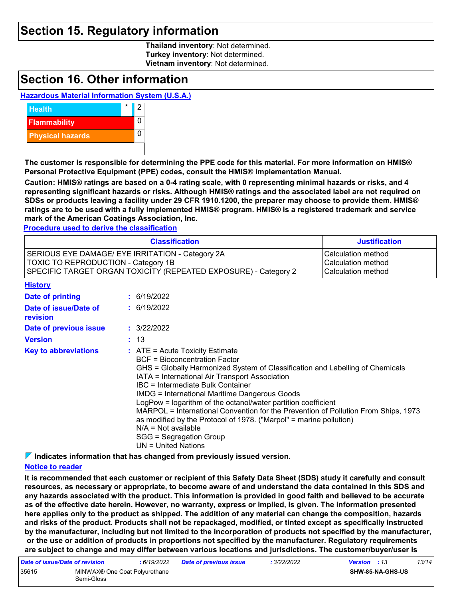### **Section 15. Regulatory information**

**Thailand inventory**: Not determined. **Turkey inventory**: Not determined. **Vietnam inventory**: Not determined.

### **Section 16. Other information**

### **Hazardous Material Information System (U.S.A.)**



**The customer is responsible for determining the PPE code for this material. For more information on HMIS® Personal Protective Equipment (PPE) codes, consult the HMIS® Implementation Manual.**

**Caution: HMIS® ratings are based on a 0-4 rating scale, with 0 representing minimal hazards or risks, and 4 representing significant hazards or risks. Although HMIS® ratings and the associated label are not required on SDSs or products leaving a facility under 29 CFR 1910.1200, the preparer may choose to provide them. HMIS® ratings are to be used with a fully implemented HMIS® program. HMIS® is a registered trademark and service mark of the American Coatings Association, Inc.**

**Procedure used to derive the classification**

|                                                                                                                                                                   | <b>Classification</b>                                                                                                                                                                                                                                                                                                                                                                                                                                                                                                                                                                                             | <b>Justification</b> |
|-------------------------------------------------------------------------------------------------------------------------------------------------------------------|-------------------------------------------------------------------------------------------------------------------------------------------------------------------------------------------------------------------------------------------------------------------------------------------------------------------------------------------------------------------------------------------------------------------------------------------------------------------------------------------------------------------------------------------------------------------------------------------------------------------|----------------------|
| SERIOUS EYE DAMAGE/ EYE IRRITATION - Category 2A<br><b>TOXIC TO REPRODUCTION - Category 1B</b><br>SPECIFIC TARGET ORGAN TOXICITY (REPEATED EXPOSURE) - Category 2 | Calculation method<br>Calculation method<br>Calculation method                                                                                                                                                                                                                                                                                                                                                                                                                                                                                                                                                    |                      |
| <b>History</b>                                                                                                                                                    |                                                                                                                                                                                                                                                                                                                                                                                                                                                                                                                                                                                                                   |                      |
| Date of printing                                                                                                                                                  | : 6/19/2022                                                                                                                                                                                                                                                                                                                                                                                                                                                                                                                                                                                                       |                      |
| Date of issue/Date of<br>revision                                                                                                                                 | : 6/19/2022                                                                                                                                                                                                                                                                                                                                                                                                                                                                                                                                                                                                       |                      |
| Date of previous issue                                                                                                                                            | : 3/22/2022                                                                                                                                                                                                                                                                                                                                                                                                                                                                                                                                                                                                       |                      |
| <b>Version</b>                                                                                                                                                    | : 13                                                                                                                                                                                                                                                                                                                                                                                                                                                                                                                                                                                                              |                      |
| <b>Key to abbreviations</b>                                                                                                                                       | $:$ ATE = Acute Toxicity Estimate<br><b>BCF</b> = Bioconcentration Factor<br>GHS = Globally Harmonized System of Classification and Labelling of Chemicals<br>IATA = International Air Transport Association<br>IBC = Intermediate Bulk Container<br><b>IMDG</b> = International Maritime Dangerous Goods<br>LogPow = logarithm of the octanol/water partition coefficient<br>MARPOL = International Convention for the Prevention of Pollution From Ships, 1973<br>as modified by the Protocol of 1978. ("Marpol" = marine pollution)<br>$N/A = Not available$<br>SGG = Segregation Group<br>UN = United Nations |                      |

**Indicates information that has changed from previously issued version.**

#### **Notice to reader**

**It is recommended that each customer or recipient of this Safety Data Sheet (SDS) study it carefully and consult resources, as necessary or appropriate, to become aware of and understand the data contained in this SDS and any hazards associated with the product. This information is provided in good faith and believed to be accurate as of the effective date herein. However, no warranty, express or implied, is given. The information presented here applies only to the product as shipped. The addition of any material can change the composition, hazards and risks of the product. Products shall not be repackaged, modified, or tinted except as specifically instructed by the manufacturer, including but not limited to the incorporation of products not specified by the manufacturer, or the use or addition of products in proportions not specified by the manufacturer. Regulatory requirements are subject to change and may differ between various locations and jurisdictions. The customer/buyer/user is** 

| Date of issue/Date of revision |                                             | : 6/19/2022 | <b>Date of previous issue</b> | : 3/22/2022 | <b>Version</b> : 13 |                         | 13/14 |
|--------------------------------|---------------------------------------------|-------------|-------------------------------|-------------|---------------------|-------------------------|-------|
| 35615                          | MINWAX® One Coat Polyurethane<br>Semi-Gloss |             |                               |             |                     | <b>SHW-85-NA-GHS-US</b> |       |